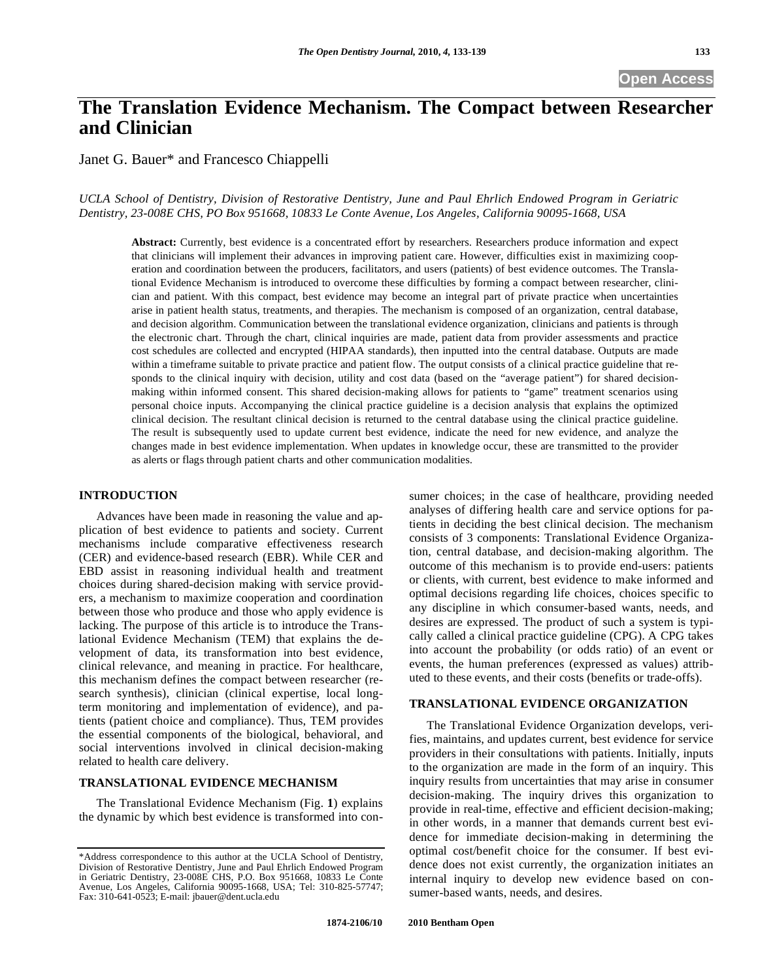### **The Translation Evidence Mechanism. The Compact between Researcher and Clinician**

Janet G. Bauer\* and Francesco Chiappelli

#### *UCLA School of Dentistry, Division of Restorative Dentistry, June and Paul Ehrlich Endowed Program in Geriatric Dentistry, 23-008E CHS, PO Box 951668, 10833 Le Conte Avenue, Los Angeles, California 90095-1668, USA*

**Abstract:** Currently, best evidence is a concentrated effort by researchers. Researchers produce information and expect that clinicians will implement their advances in improving patient care. However, difficulties exist in maximizing cooperation and coordination between the producers, facilitators, and users (patients) of best evidence outcomes. The Translational Evidence Mechanism is introduced to overcome these difficulties by forming a compact between researcher, clinician and patient. With this compact, best evidence may become an integral part of private practice when uncertainties arise in patient health status, treatments, and therapies. The mechanism is composed of an organization, central database, and decision algorithm. Communication between the translational evidence organization, clinicians and patients is through the electronic chart. Through the chart, clinical inquiries are made, patient data from provider assessments and practice cost schedules are collected and encrypted (HIPAA standards), then inputted into the central database. Outputs are made within a timeframe suitable to private practice and patient flow. The output consists of a clinical practice guideline that responds to the clinical inquiry with decision, utility and cost data (based on the "average patient") for shared decisionmaking within informed consent. This shared decision-making allows for patients to "game" treatment scenarios using personal choice inputs. Accompanying the clinical practice guideline is a decision analysis that explains the optimized clinical decision. The resultant clinical decision is returned to the central database using the clinical practice guideline. The result is subsequently used to update current best evidence, indicate the need for new evidence, and analyze the changes made in best evidence implementation. When updates in knowledge occur, these are transmitted to the provider as alerts or flags through patient charts and other communication modalities.

#### **INTRODUCTION**

Advances have been made in reasoning the value and application of best evidence to patients and society. Current mechanisms include comparative effectiveness research (CER) and evidence-based research (EBR). While CER and EBD assist in reasoning individual health and treatment choices during shared-decision making with service providers, a mechanism to maximize cooperation and coordination between those who produce and those who apply evidence is lacking. The purpose of this article is to introduce the Translational Evidence Mechanism (TEM) that explains the development of data, its transformation into best evidence, clinical relevance, and meaning in practice. For healthcare, this mechanism defines the compact between researcher (research synthesis), clinician (clinical expertise, local longterm monitoring and implementation of evidence), and patients (patient choice and compliance). Thus, TEM provides the essential components of the biological, behavioral, and social interventions involved in clinical decision-making related to health care delivery.

#### **TRANSLATIONAL EVIDENCE MECHANISM**

The Translational Evidence Mechanism (Fig. **1**) explains the dynamic by which best evidence is transformed into consumer choices; in the case of healthcare, providing needed analyses of differing health care and service options for patients in deciding the best clinical decision. The mechanism consists of 3 components: Translational Evidence Organization, central database, and decision-making algorithm. The outcome of this mechanism is to provide end-users: patients or clients, with current, best evidence to make informed and optimal decisions regarding life choices, choices specific to any discipline in which consumer-based wants, needs, and desires are expressed. The product of such a system is typically called a clinical practice guideline (CPG). A CPG takes into account the probability (or odds ratio) of an event or events, the human preferences (expressed as values) attributed to these events, and their costs (benefits or trade-offs).

#### **TRANSLATIONAL EVIDENCE ORGANIZATION**

The Translational Evidence Organization develops, verifies, maintains, and updates current, best evidence for service providers in their consultations with patients. Initially, inputs to the organization are made in the form of an inquiry. This inquiry results from uncertainties that may arise in consumer decision-making. The inquiry drives this organization to provide in real-time, effective and efficient decision-making; in other words, in a manner that demands current best evidence for immediate decision-making in determining the optimal cost/benefit choice for the consumer. If best evidence does not exist currently, the organization initiates an internal inquiry to develop new evidence based on consumer-based wants, needs, and desires.

<sup>\*</sup>Address correspondence to this author at the UCLA School of Dentistry, Division of Restorative Dentistry, June and Paul Ehrlich Endowed Program in Geriatric Dentistry, 23-008E CHS, P.O. Box 951668, 10833 Le Conte Avenue, Los Angeles, California 90095-1668, USA; Tel: 310-825-57747; Fax: 310-641-0523; E-mail: jbauer@dent.ucla.edu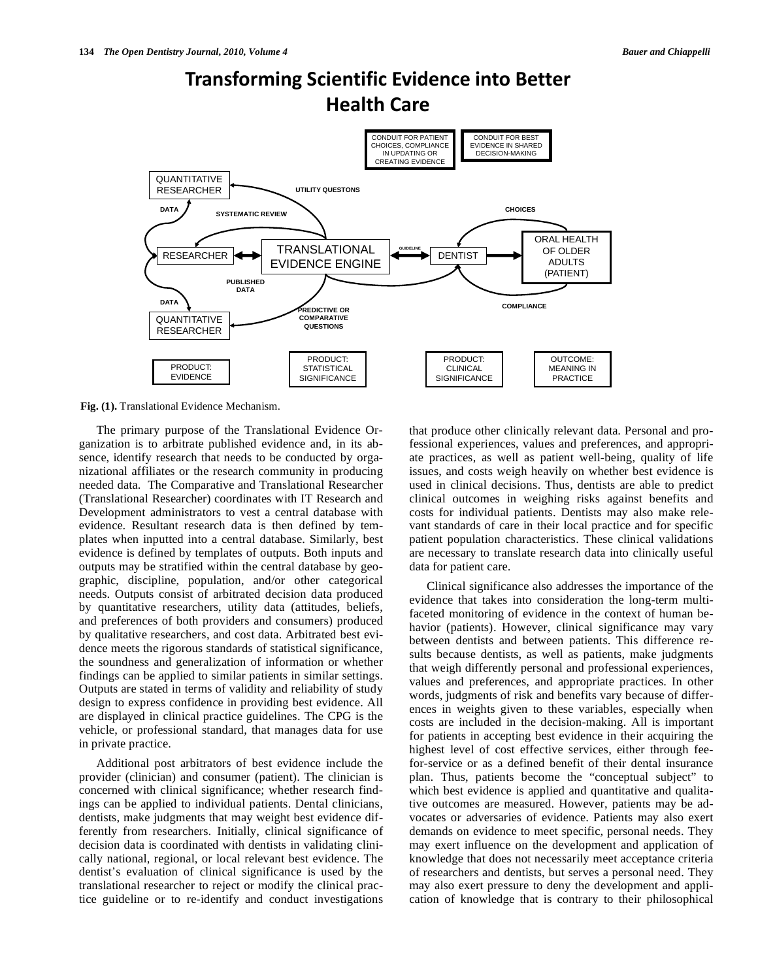

# **Transforming Scientific Evidence into Better**

**Fig. (1).** Translational Evidence Mechanism.

The primary purpose of the Translational Evidence Organization is to arbitrate published evidence and, in its absence, identify research that needs to be conducted by organizational affiliates or the research community in producing needed data. The Comparative and Translational Researcher (Translational Researcher) coordinates with IT Research and Development administrators to vest a central database with evidence. Resultant research data is then defined by templates when inputted into a central database. Similarly, best evidence is defined by templates of outputs. Both inputs and outputs may be stratified within the central database by geographic, discipline, population, and/or other categorical needs. Outputs consist of arbitrated decision data produced by quantitative researchers, utility data (attitudes, beliefs, and preferences of both providers and consumers) produced by qualitative researchers, and cost data. Arbitrated best evidence meets the rigorous standards of statistical significance, the soundness and generalization of information or whether findings can be applied to similar patients in similar settings. Outputs are stated in terms of validity and reliability of study design to express confidence in providing best evidence. All are displayed in clinical practice guidelines. The CPG is the vehicle, or professional standard, that manages data for use in private practice.

Additional post arbitrators of best evidence include the provider (clinician) and consumer (patient). The clinician is concerned with clinical significance; whether research findings can be applied to individual patients. Dental clinicians, dentists, make judgments that may weight best evidence differently from researchers. Initially, clinical significance of decision data is coordinated with dentists in validating clinically national, regional, or local relevant best evidence. The dentist's evaluation of clinical significance is used by the translational researcher to reject or modify the clinical practice guideline or to re-identify and conduct investigations

that produce other clinically relevant data. Personal and professional experiences, values and preferences, and appropriate practices, as well as patient well-being, quality of life issues, and costs weigh heavily on whether best evidence is used in clinical decisions. Thus, dentists are able to predict clinical outcomes in weighing risks against benefits and costs for individual patients. Dentists may also make relevant standards of care in their local practice and for specific patient population characteristics. These clinical validations are necessary to translate research data into clinically useful data for patient care.

Clinical significance also addresses the importance of the evidence that takes into consideration the long-term multifaceted monitoring of evidence in the context of human behavior (patients). However, clinical significance may vary between dentists and between patients. This difference results because dentists, as well as patients, make judgments that weigh differently personal and professional experiences, values and preferences, and appropriate practices. In other words, judgments of risk and benefits vary because of differences in weights given to these variables, especially when costs are included in the decision-making. All is important for patients in accepting best evidence in their acquiring the highest level of cost effective services, either through feefor-service or as a defined benefit of their dental insurance plan. Thus, patients become the "conceptual subject" to which best evidence is applied and quantitative and qualitative outcomes are measured. However, patients may be advocates or adversaries of evidence. Patients may also exert demands on evidence to meet specific, personal needs. They may exert influence on the development and application of knowledge that does not necessarily meet acceptance criteria of researchers and dentists, but serves a personal need. They may also exert pressure to deny the development and application of knowledge that is contrary to their philosophical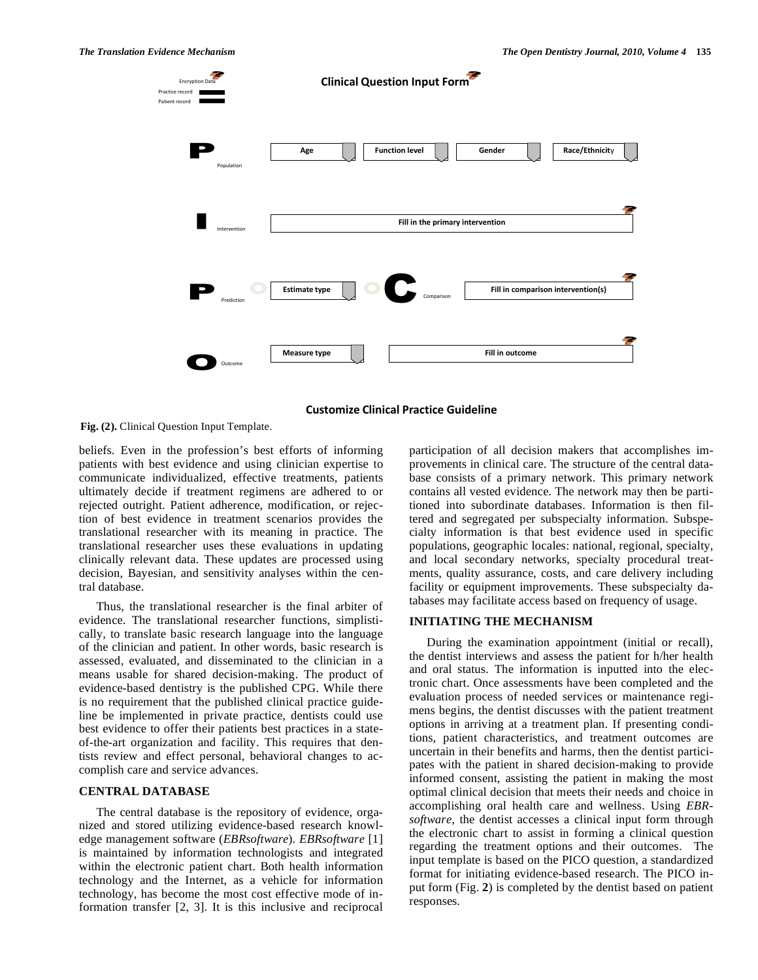

#### **Customize Clinical Practice Guideline**

**Fig. (2).** Clinical Question Input Template.

beliefs. Even in the profession's best efforts of informing patients with best evidence and using clinician expertise to communicate individualized, effective treatments, patients ultimately decide if treatment regimens are adhered to or rejected outright. Patient adherence, modification, or rejection of best evidence in treatment scenarios provides the translational researcher with its meaning in practice. The translational researcher uses these evaluations in updating clinically relevant data. These updates are processed using decision, Bayesian, and sensitivity analyses within the central database.

Thus, the translational researcher is the final arbiter of evidence. The translational researcher functions, simplistically, to translate basic research language into the language of the clinician and patient. In other words, basic research is assessed, evaluated, and disseminated to the clinician in a means usable for shared decision-making. The product of evidence-based dentistry is the published CPG. While there is no requirement that the published clinical practice guideline be implemented in private practice, dentists could use best evidence to offer their patients best practices in a stateof-the-art organization and facility. This requires that dentists review and effect personal, behavioral changes to accomplish care and service advances.

#### **CENTRAL DATABASE**

The central database is the repository of evidence, organized and stored utilizing evidence-based research knowledge management software (*EBRsoftware*). *EBRsoftware* [1] is maintained by information technologists and integrated within the electronic patient chart. Both health information technology and the Internet, as a vehicle for information technology, has become the most cost effective mode of information transfer [2, 3]. It is this inclusive and reciprocal

participation of all decision makers that accomplishes improvements in clinical care. The structure of the central database consists of a primary network. This primary network contains all vested evidence. The network may then be partitioned into subordinate databases. Information is then filtered and segregated per subspecialty information. Subspecialty information is that best evidence used in specific populations, geographic locales: national, regional, specialty, and local secondary networks, specialty procedural treatments, quality assurance, costs, and care delivery including facility or equipment improvements. These subspecialty databases may facilitate access based on frequency of usage.

#### **INITIATING THE MECHANISM**

During the examination appointment (initial or recall), the dentist interviews and assess the patient for h/her health and oral status. The information is inputted into the electronic chart. Once assessments have been completed and the evaluation process of needed services or maintenance regimens begins, the dentist discusses with the patient treatment options in arriving at a treatment plan. If presenting conditions, patient characteristics, and treatment outcomes are uncertain in their benefits and harms, then the dentist participates with the patient in shared decision-making to provide informed consent, assisting the patient in making the most optimal clinical decision that meets their needs and choice in accomplishing oral health care and wellness. Using *EBRsoftware*, the dentist accesses a clinical input form through the electronic chart to assist in forming a clinical question regarding the treatment options and their outcomes. The input template is based on the PICO question, a standardized format for initiating evidence-based research. The PICO input form (Fig. **2**) is completed by the dentist based on patient responses.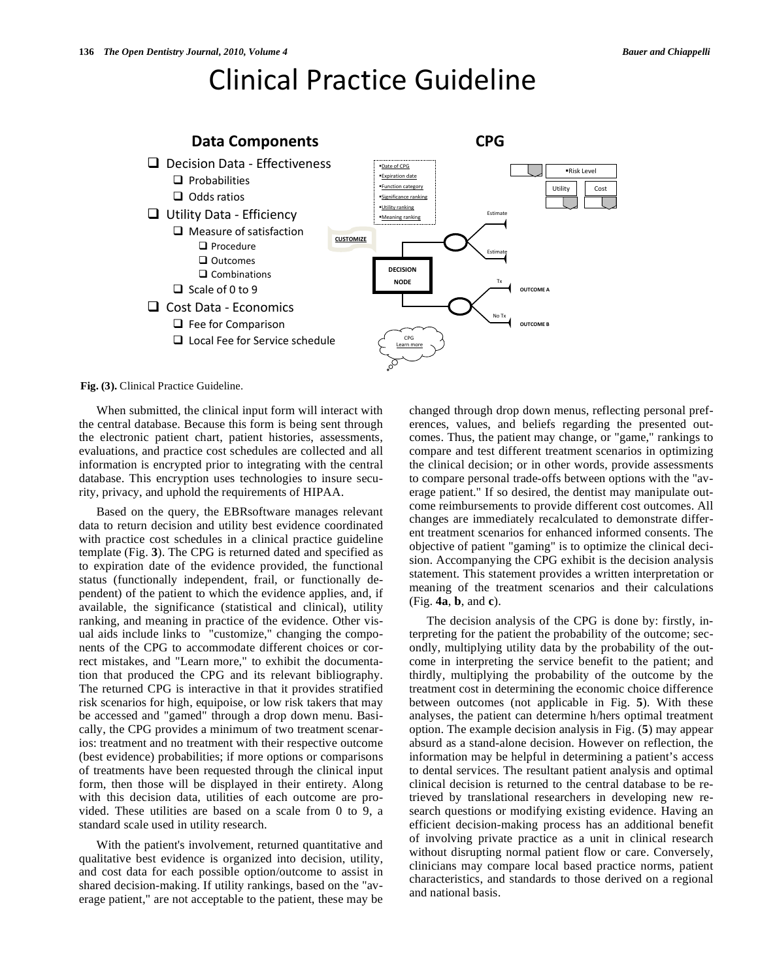# Clinical Practice Guideline



**Fig. (3).** Clinical Practice Guideline.

When submitted, the clinical input form will interact with the central database. Because this form is being sent through the electronic patient chart, patient histories, assessments, evaluations, and practice cost schedules are collected and all information is encrypted prior to integrating with the central database. This encryption uses technologies to insure security, privacy, and uphold the requirements of HIPAA.

Based on the query, the EBRsoftware manages relevant data to return decision and utility best evidence coordinated with practice cost schedules in a clinical practice guideline template (Fig. **3**). The CPG is returned dated and specified as to expiration date of the evidence provided, the functional status (functionally independent, frail, or functionally dependent) of the patient to which the evidence applies, and, if available, the significance (statistical and clinical), utility ranking, and meaning in practice of the evidence. Other visual aids include links to "customize," changing the components of the CPG to accommodate different choices or correct mistakes, and "Learn more," to exhibit the documentation that produced the CPG and its relevant bibliography. The returned CPG is interactive in that it provides stratified risk scenarios for high, equipoise, or low risk takers that may be accessed and "gamed" through a drop down menu. Basically, the CPG provides a minimum of two treatment scenarios: treatment and no treatment with their respective outcome (best evidence) probabilities; if more options or comparisons of treatments have been requested through the clinical input form, then those will be displayed in their entirety. Along with this decision data, utilities of each outcome are provided. These utilities are based on a scale from 0 to 9, a standard scale used in utility research.

With the patient's involvement, returned quantitative and qualitative best evidence is organized into decision, utility, and cost data for each possible option/outcome to assist in shared decision-making. If utility rankings, based on the "average patient," are not acceptable to the patient, these may be changed through drop down menus, reflecting personal preferences, values, and beliefs regarding the presented outcomes. Thus, the patient may change, or "game," rankings to compare and test different treatment scenarios in optimizing the clinical decision; or in other words, provide assessments to compare personal trade-offs between options with the "average patient." If so desired, the dentist may manipulate outcome reimbursements to provide different cost outcomes. All changes are immediately recalculated to demonstrate different treatment scenarios for enhanced informed consents. The objective of patient "gaming" is to optimize the clinical decision. Accompanying the CPG exhibit is the decision analysis statement. This statement provides a written interpretation or meaning of the treatment scenarios and their calculations (Fig. **4a**, **b**, and **c**).

The decision analysis of the CPG is done by: firstly, interpreting for the patient the probability of the outcome; secondly, multiplying utility data by the probability of the outcome in interpreting the service benefit to the patient; and thirdly, multiplying the probability of the outcome by the treatment cost in determining the economic choice difference between outcomes (not applicable in Fig. **5**). With these analyses, the patient can determine h/hers optimal treatment option. The example decision analysis in Fig. (**5**) may appear absurd as a stand-alone decision. However on reflection, the information may be helpful in determining a patient's access to dental services. The resultant patient analysis and optimal clinical decision is returned to the central database to be retrieved by translational researchers in developing new research questions or modifying existing evidence. Having an efficient decision-making process has an additional benefit of involving private practice as a unit in clinical research without disrupting normal patient flow or care. Conversely, clinicians may compare local based practice norms, patient characteristics, and standards to those derived on a regional and national basis.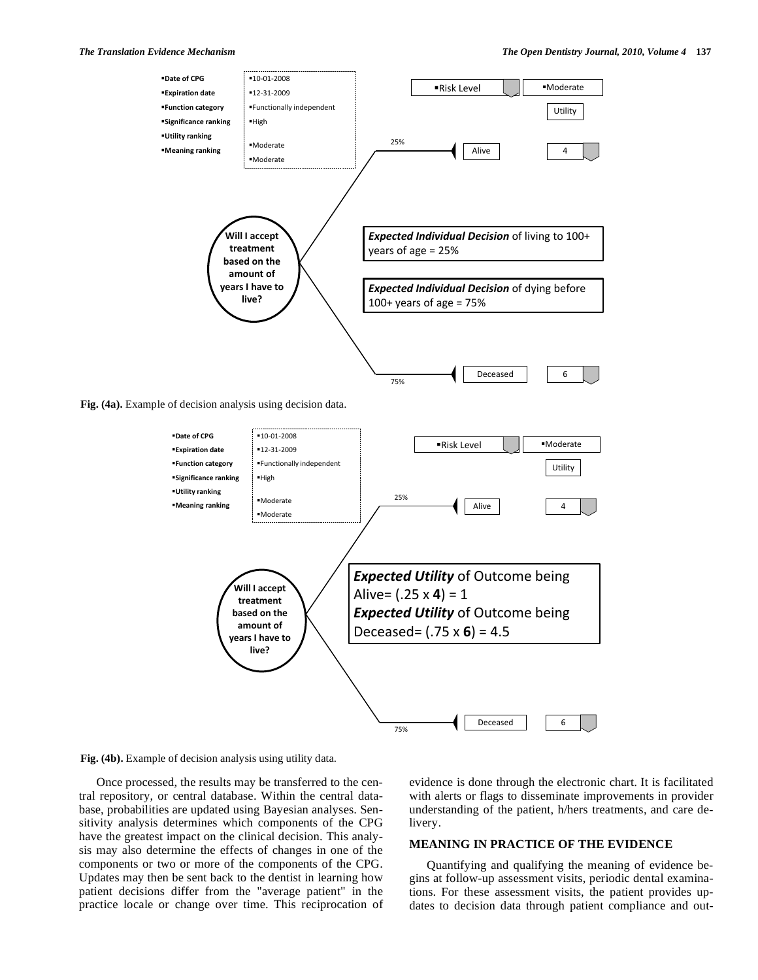

**Fig. (4a).** Example of decision analysis using decision data.



**Fig. (4b).** Example of decision analysis using utility data.

Once processed, the results may be transferred to the central repository, or central database. Within the central database, probabilities are updated using Bayesian analyses. Sensitivity analysis determines which components of the CPG have the greatest impact on the clinical decision. This analysis may also determine the effects of changes in one of the components or two or more of the components of the CPG. Updates may then be sent back to the dentist in learning how patient decisions differ from the "average patient" in the practice locale or change over time. This reciprocation of evidence is done through the electronic chart. It is facilitated with alerts or flags to disseminate improvements in provider understanding of the patient, h/hers treatments, and care delivery.

#### **MEANING IN PRACTICE OF THE EVIDENCE**

Quantifying and qualifying the meaning of evidence begins at follow-up assessment visits, periodic dental examinations. For these assessment visits, the patient provides updates to decision data through patient compliance and out-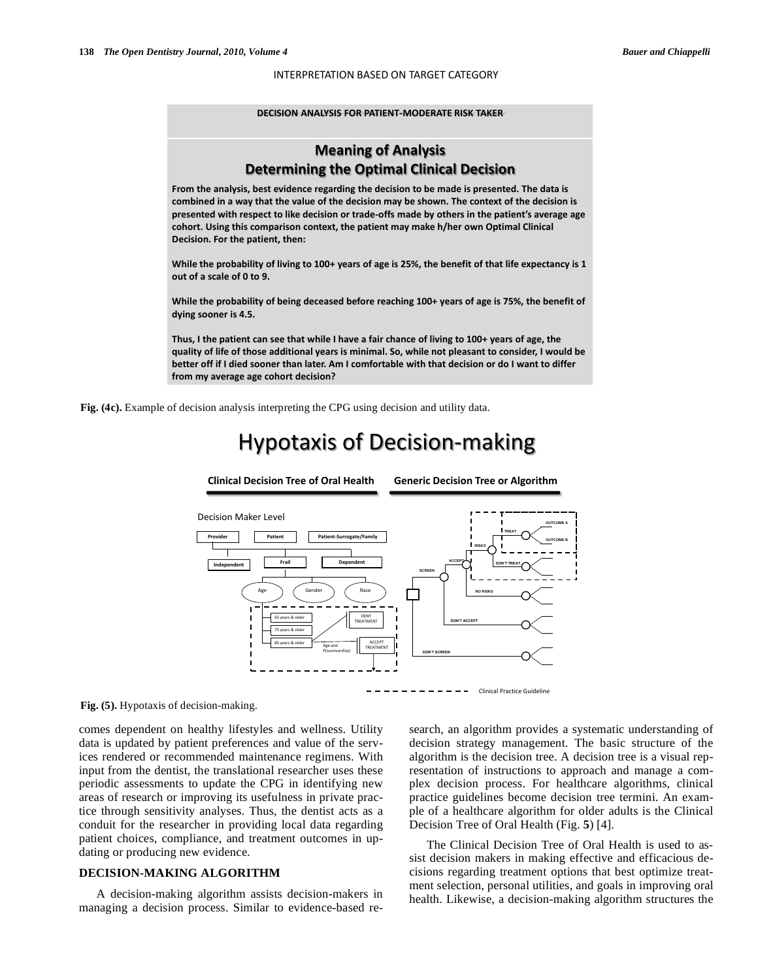#### INTERPRETATION BASED ON TARGET CATEGORY

| DECISION ANALYSIS FOR PATIENT-MODERATE RISK TAKER                                                                                                                                                                                                                                                                                                                                                                                |
|----------------------------------------------------------------------------------------------------------------------------------------------------------------------------------------------------------------------------------------------------------------------------------------------------------------------------------------------------------------------------------------------------------------------------------|
| <b>Meaning of Analysis</b>                                                                                                                                                                                                                                                                                                                                                                                                       |
| <b>Determining the Optimal Clinical Decision</b>                                                                                                                                                                                                                                                                                                                                                                                 |
| From the analysis, best evidence regarding the decision to be made is presented. The data is<br>combined in a way that the value of the decision may be shown. The context of the decision is<br>presented with respect to like decision or trade-offs made by others in the patient's average age<br>cohort. Using this comparison context, the patient may make h/her own Optimal Clinical<br>Decision. For the patient, then: |
| While the probability of living to 100+ years of age is 25%, the benefit of that life expectancy is 1<br>out of a scale of 0 to 9.                                                                                                                                                                                                                                                                                               |
| While the probability of being deceased before reaching 100+ years of age is 75%, the benefit of<br>dying sooner is 4.5.                                                                                                                                                                                                                                                                                                         |
| Thus, I the patient can see that while I have a fair chance of living to 100+ years of age, the<br>quality of life of those additional years is minimal. So, while not pleasant to consider, I would be<br>better off if I died sooner than later. Am I comfortable with that decision or do I want to differ                                                                                                                    |

**Fig. (4c).** Example of decision analysis interpreting the CPG using decision and utility data.

**from my average age cohort decision?**

## Hypotaxis of Decision-making



**Fig. (5).** Hypotaxis of decision-making.

comes dependent on healthy lifestyles and wellness. Utility data is updated by patient preferences and value of the services rendered or recommended maintenance regimens. With input from the dentist, the translational researcher uses these periodic assessments to update the CPG in identifying new areas of research or improving its usefulness in private practice through sensitivity analyses. Thus, the dentist acts as a conduit for the researcher in providing local data regarding patient choices, compliance, and treatment outcomes in updating or producing new evidence.

#### **DECISION-MAKING ALGORITHM**

A decision-making algorithm assists decision-makers in managing a decision process. Similar to evidence-based research, an algorithm provides a systematic understanding of decision strategy management. The basic structure of the algorithm is the decision tree. A decision tree is a visual representation of instructions to approach and manage a complex decision process. For healthcare algorithms, clinical practice guidelines become decision tree termini. An example of a healthcare algorithm for older adults is the Clinical Decision Tree of Oral Health (Fig. **5**) [4].

The Clinical Decision Tree of Oral Health is used to assist decision makers in making effective and efficacious decisions regarding treatment options that best optimize treatment selection, personal utilities, and goals in improving oral health. Likewise, a decision-making algorithm structures the